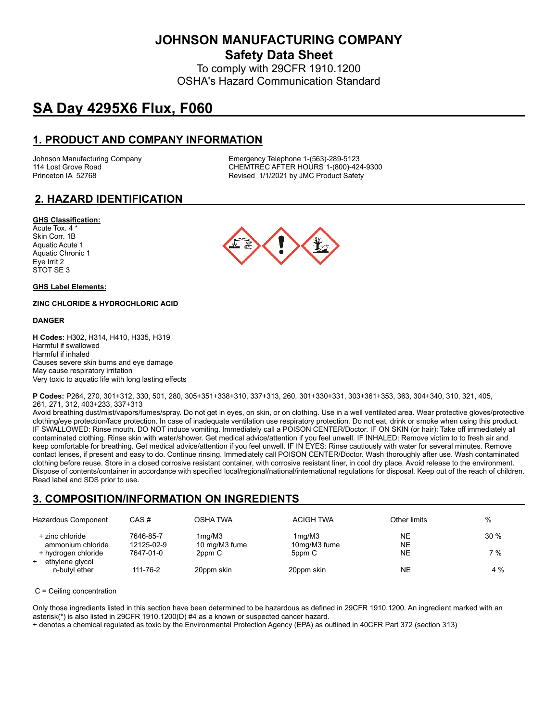**JOHNSON MANUFACTURING COMPANY Safety Data Sheet**

To comply with 29CFR 1910.1200 OSHA's Hazard Communication Standard

# **SA Day 4295X6 Flux, F060**

# **1. PRODUCT AND COMPANY INFORMATION**

Johnson Manufacturing Company Emergency Telephone 1-(563)-289-5123 114 Lost Grove Road Theory Chemister Chemister Chemister Chemister Chemister Chemister Chemister Chemister Chem<br>Chemister Chemister Revised 1/1/2021 by JMC Product Safety Revised 1/1/2021 by JMC Product Safety

# **2. HAZARD IDENTIFICATION**

#### **GHS Classification:**

Acute Tox. 4 \* Skin Corr. 1B Aquatic Acute 1 Aquatic Chronic 1 Eye Irrit 2 STOT SE 3

#### **GHS Label Elements:**

#### **ZINC CHLORIDE & HYDROCHLORIC ACID**

#### **DANGER**

**H Codes:** H302, H314, H410, H335, H319 Harmful if swallowed Harmful if inhaled Causes severe skin burns and eye damage May cause respiratory irritation Very toxic to aquatic life with long lasting effects



**P Codes:** P264, 270, 301+312, 330, 501, 280, 305+351+338+310, 337+313, 260, 301+330+331, 303+361+353, 363, 304+340, 310, 321, 405, 261, 271, 312, 403+233, 337+313

Avoid breathing dust/mist/vapors/fumes/spray. Do not get in eyes, on skin, or on clothing. Use in a well ventilated area. Wear protective gloves/protective clothing/eye protection/face protection. In case of inadequate ventilation use respiratory protection. Do not eat, drink or smoke when using this product. IF SWALLOWED: Rinse mouth. DO NOT induce vomiting. Immediately call a POISON CENTER/Doctor. IF ON SKIN (or hair): Take off immediately all contaminated clothing. Rinse skin with water/shower. Get medical advice/attention if you feel unwell. IF INHALED: Remove victim to to fresh air and keep comfortable for breathing. Get medical advice/attention if you feel unwell. IF IN EYES: Rinse cautiously with water for several minutes. Remove contact lenses, if present and easy to do. Continue rinsing. Immediately call POISON CENTER/Doctor. Wash thoroughly after use. Wash contaminated clothing before reuse. Store in a closed corrosive resistant container, with corrosive resistant liner, in cool dry place. Avoid release to the environment. Dispose of contents/container in accordance with specified local/regional/national/international regulations for disposal. Keep out of the reach of children. Read label and SDS prior to use.

# **3. COMPOSITION/INFORMATION ON INGREDIENTS**

| Hazardous Component                                                                                    | CAS#                                 | OSHA TWA                                       | <b>ACIGH TWA</b>                 | Other limits   | %          |
|--------------------------------------------------------------------------------------------------------|--------------------------------------|------------------------------------------------|----------------------------------|----------------|------------|
| + zinc chloride<br>ammonium chloride<br>+ hydrogen chloride<br>ethylene glycol<br>$+$<br>n-butyl ether | 7646-85-7<br>12125-02-9<br>7647-01-0 | 1 <sub>mq</sub> /M3<br>10 mg/M3 fume<br>2ppm C | 1mg/M3<br>10mg/M3 fume<br>5ppm C | NE<br>NE<br>NE | 30%<br>7 % |
|                                                                                                        | 111-76-2                             | 20ppm skin                                     | 20ppm skin                       | NE             | 4 %        |

#### C = Ceiling concentration

Only those ingredients listed in this section have been determined to be hazardous as defined in 29CFR 1910.1200. An ingredient marked with an asterisk(\*) is also listed in 29CFR 1910.1200(D) #4 as a known or suspected cancer hazard.

+ denotes a chemical regulated as toxic by the Environmental Protection Agency (EPA) as outlined in 40CFR Part 372 (section 313)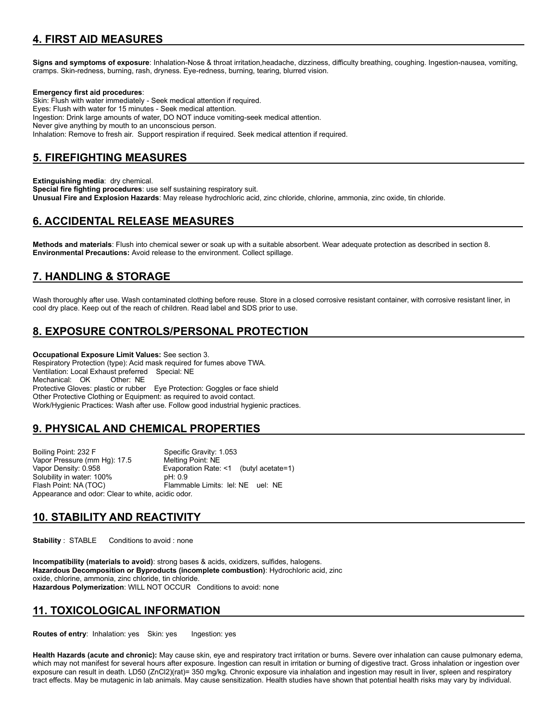# **4. FIRST AID MEASURES**

**Signs and symptoms of exposure**: Inhalation-Nose & throat irritation,headache, dizziness, difficulty breathing, coughing. Ingestion-nausea, vomiting, cramps. Skin-redness, burning, rash, dryness. Eye-redness, burning, tearing, blurred vision.

#### **Emergency first aid procedures**:

Skin: Flush with water immediately - Seek medical attention if required. Eyes: Flush with water for 15 minutes - Seek medical attention. Ingestion: Drink large amounts of water, DO NOT induce vomiting-seek medical attention. Never give anything by mouth to an unconscious person. Inhalation: Remove to fresh air. Support respiration if required. Seek medical attention if required.

### **5. FIREFIGHTING MEASURES**

**Extinguishing media**: dry chemical.

**Special fire fighting procedures**: use self sustaining respiratory suit. **Unusual Fire and Explosion Hazards**: May release hydrochloric acid, zinc chloride, chlorine, ammonia, zinc oxide, tin chloride.

### **6. ACCIDENTAL RELEASE MEASURES**

**Methods and materials**: Flush into chemical sewer or soak up with a suitable absorbent. Wear adequate protection as described in section 8. **Environmental Precautions:** Avoid release to the environment. Collect spillage.

### **7. HANDLING & STORAGE**

Wash thoroughly after use. Wash contaminated clothing before reuse. Store in a closed corrosive resistant container, with corrosive resistant liner, in cool dry place. Keep out of the reach of children. Read label and SDS prior to use.

# **8. EXPOSURE CONTROLS/PERSONAL PROTECTION**

**Occupational Exposure Limit Values:** See section 3. Respiratory Protection (type): Acid mask required for fumes above TWA. Ventilation: Local Exhaust preferred Special: NE Mechanical: OK Other: NE Protective Gloves: plastic or rubber Eye Protection: Goggles or face shield Other Protective Clothing or Equipment: as required to avoid contact. Work/Hygienic Practices: Wash after use. Follow good industrial hygienic practices.

# **9. PHYSICAL AND CHEMICAL PROPERTIES**

Boiling Point: 232 F Specific Gravity: 1.053 Vapor Pressure (mm Hg): 17.5 Vapor Density: 0.958 Evaporation Rate: <1 (butyl acetate=1) Solubility in water: 100% Flash Point: NA (TOC) Flammable Limits: lel: NE uel: NE Appearance and odor: Clear to white, acidic odor.

#### **10. STABILITY AND REACTIVITY**

**Stability** : STABLE Conditions to avoid : none

**Incompatibility (materials to avoid)**: strong bases & acids, oxidizers, sulfides, halogens. **Hazardous Decomposition or Byproducts (incomplete combustion)**: Hydrochloric acid, zinc oxide, chlorine, ammonia, zinc chloride, tin chloride. **Hazardous Polymerization**: WILL NOT OCCUR Conditions to avoid: none

# **11. TOXICOLOGICAL INFORMATION**

**Routes of entry: Inhalation: yes Skin: yes Ingestion: yes** 

**Health Hazards (acute and chronic):** May cause skin, eye and respiratory tract irritation or burns. Severe over inhalation can cause pulmonary edema, which may not manifest for several hours after exposure. Ingestion can result in irritation or burning of digestive tract. Gross inhalation or ingestion over exposure can result in death. LD50 (ZnCl2)(rat)= 350 mg/kg. Chronic exposure via inhalation and ingestion may result in liver, spleen and respiratory tract effects. May be mutagenic in lab animals. May cause sensitization. Health studies have shown that potential health risks may vary by individual.